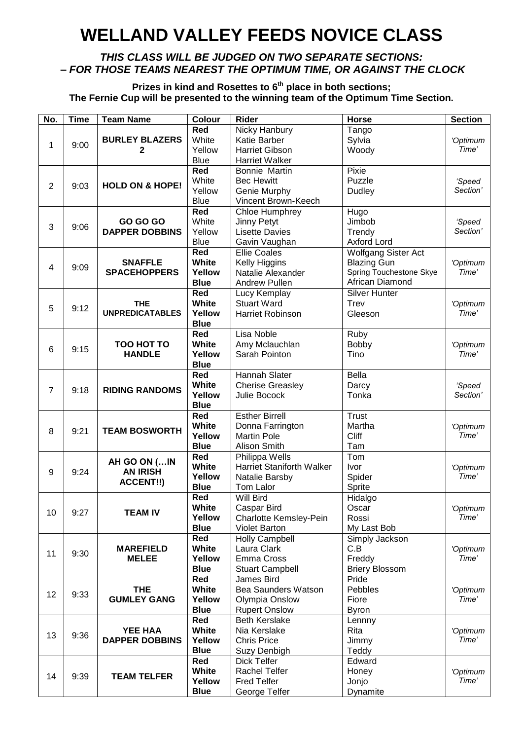## **WELLAND VALLEY FEEDS NOVICE CLASS**

#### *THIS CLASS WILL BE JUDGED ON TWO SEPARATE SECTIONS: – FOR THOSE TEAMS NEAREST THE OPTIMUM TIME, OR AGAINST THE CLOCK*

**Prizes in kind and Rosettes to 6th place in both sections; The Fernie Cup will be presented to the winning team of the Optimum Time Section.**

| No.              | <b>Time</b> | <b>Team Name</b>           | Colour                    | <b>Rider</b>                     | <b>Horse</b>            | <b>Section</b> |
|------------------|-------------|----------------------------|---------------------------|----------------------------------|-------------------------|----------------|
|                  |             |                            | Red                       | Nicky Hanbury                    | Tango                   |                |
|                  |             | <b>BURLEY BLAZERS</b>      | White                     | Katie Barber                     | Sylvia                  | 'Optimum       |
| 1                | 9:00        | 2                          | Yellow                    | <b>Harriet Gibson</b>            | Woody                   | Time'          |
|                  |             |                            | <b>Blue</b>               | <b>Harriet Walker</b>            |                         |                |
|                  |             |                            | Red                       | Bonnie Martin                    | Pixie                   |                |
|                  |             |                            | White                     | <b>Bec Hewitt</b>                | Puzzle                  |                |
| $\overline{2}$   | 9:03        | <b>HOLD ON &amp; HOPE!</b> |                           |                                  |                         | 'Speed         |
|                  |             |                            | Yellow                    | Genie Murphy                     | Dudley                  | Section'       |
|                  |             |                            | <b>Blue</b>               | Vincent Brown-Keech              |                         |                |
|                  |             |                            | Red                       | Chloe Humphrey                   | Hugo                    |                |
| $\sqrt{3}$       | 9:06        | <b>GO GO GO</b>            | White                     | Jinny Petyt                      | Jimbob                  | 'Speed         |
|                  |             | <b>DAPPER DOBBINS</b>      | Yellow                    | <b>Lisette Davies</b>            | Trendy                  | Section'       |
|                  |             |                            | <b>Blue</b>               | Gavin Vaughan                    | <b>Axford Lord</b>      |                |
|                  |             |                            | <b>Red</b>                | <b>Ellie Coales</b>              | Wolfgang Sister Act     |                |
|                  |             | <b>SNAFFLE</b>             | White                     | Kelly Higgins                    | <b>Blazing Gun</b>      | 'Optimum       |
| 4                | 9:09        | <b>SPACEHOPPERS</b>        | Yellow                    | Natalie Alexander                | Spring Touchestone Skye | Time'          |
|                  |             |                            | <b>Blue</b>               | <b>Andrew Pullen</b>             | African Diamond         |                |
|                  |             |                            | Red                       | Lucy Kemplay                     | <b>Silver Hunter</b>    |                |
|                  |             | <b>THE</b>                 | White                     | <b>Stuart Ward</b>               | Trev                    | 'Optimum       |
| 5                | 9:12        | <b>UNPREDICATABLES</b>     | Yellow                    | <b>Harriet Robinson</b>          | Gleeson                 | Time'          |
|                  |             |                            |                           |                                  |                         |                |
|                  |             |                            | <b>Blue</b><br><b>Red</b> |                                  |                         |                |
|                  |             |                            |                           | Lisa Noble                       | Ruby                    |                |
| $6\phantom{1}6$  | 9:15        | TOO HOT TO                 | White                     | Amy Mclauchlan                   | <b>Bobby</b>            | 'Optimum       |
|                  |             | <b>HANDLE</b>              | Yellow                    | Sarah Pointon                    | Tino                    | Time'          |
|                  |             |                            | <b>Blue</b>               |                                  |                         |                |
|                  |             |                            | Red                       | Hannah Slater                    | <b>Bella</b>            |                |
| $\overline{7}$   | 9:18        | <b>RIDING RANDOMS</b>      | White                     | <b>Cherise Greasley</b>          | Darcy                   | 'Speed         |
|                  |             |                            | Yellow                    | Julie Bocock                     | Tonka                   | Section'       |
|                  |             |                            | <b>Blue</b>               |                                  |                         |                |
|                  |             |                            | <b>Red</b>                | <b>Esther Birrell</b>            | Trust                   |                |
|                  |             |                            | White                     | Donna Farrington                 | Martha                  | 'Optimum       |
| 8                | 9:21        | <b>TEAM BOSWORTH</b>       | Yellow                    | <b>Martin Pole</b>               | Cliff                   | Time'          |
|                  |             |                            | <b>Blue</b>               | Alison Smith                     | Tam                     |                |
|                  |             |                            | <b>Red</b>                | Philippa Wells                   | Tom                     |                |
|                  |             | AH GO ON (IN               | White                     | <b>Harriet Staniforth Walker</b> | Ivor                    | 'Optimum       |
| $\boldsymbol{9}$ | 9:24        | <b>AN IRISH</b>            | Yellow                    | Natalie Barsby                   | Spider                  | Time'          |
|                  |             | <b>ACCENT!!)</b>           | <b>Blue</b>               | Tom Lalor                        | Sprite                  |                |
|                  |             |                            | <b>Red</b>                | Will Bird                        | Hidalgo                 |                |
|                  |             |                            | White                     | Caspar Bird                      | Oscar                   |                |
| 10               | 9:27        | <b>TEAM IV</b>             |                           |                                  |                         | 'Optimum       |
|                  |             |                            | Yellow                    | Charlotte Kemsley-Pein           | Rossi                   | Time'          |
|                  |             |                            | <b>Blue</b>               | <b>Violet Barton</b>             | My Last Bob             |                |
|                  |             |                            | Red                       | <b>Holly Campbell</b>            | Simply Jackson          |                |
| 11               | 9:30        | <b>MAREFIELD</b>           | White                     | Laura Clark                      | C.B                     | 'Optimum       |
|                  |             | <b>MELEE</b>               | Yellow                    | Emma Cross                       | Freddy                  | Time'          |
|                  |             |                            | <b>Blue</b>               | <b>Stuart Campbell</b>           | <b>Briery Blossom</b>   |                |
|                  |             |                            | Red                       | James Bird                       | Pride                   |                |
| 12               | 9:33        | <b>THE</b>                 | White                     | <b>Bea Saunders Watson</b>       | Pebbles                 | 'Optimum       |
|                  |             | <b>GUMLEY GANG</b>         | Yellow                    | Olympia Onslow                   | Fiore                   | Time'          |
|                  |             |                            | <b>Blue</b>               | <b>Rupert Onslow</b>             | <b>Byron</b>            |                |
|                  |             |                            | Red                       | <b>Beth Kerslake</b>             | Lennny                  |                |
|                  |             | <b>YEE HAA</b>             | <b>White</b>              | Nia Kerslake                     | Rita                    | 'Optimum       |
| 13               | 9:36        | <b>DAPPER DOBBINS</b>      | Yellow                    | <b>Chris Price</b>               | Jimmy                   | Time'          |
|                  |             |                            | <b>Blue</b>               | Suzy Denbigh                     | Teddy                   |                |
|                  |             |                            | Red                       | Dick Telfer                      | Edward                  |                |
|                  |             |                            | <b>White</b>              | <b>Rachel Telfer</b>             | Honey                   | 'Optimum       |
| 14               | 9:39        | <b>TEAM TELFER</b>         |                           |                                  |                         | Time'          |
|                  |             |                            | Yellow                    | <b>Fred Telfer</b>               | Jonjo                   |                |
|                  |             |                            | <b>Blue</b>               | George Telfer                    | Dynamite                |                |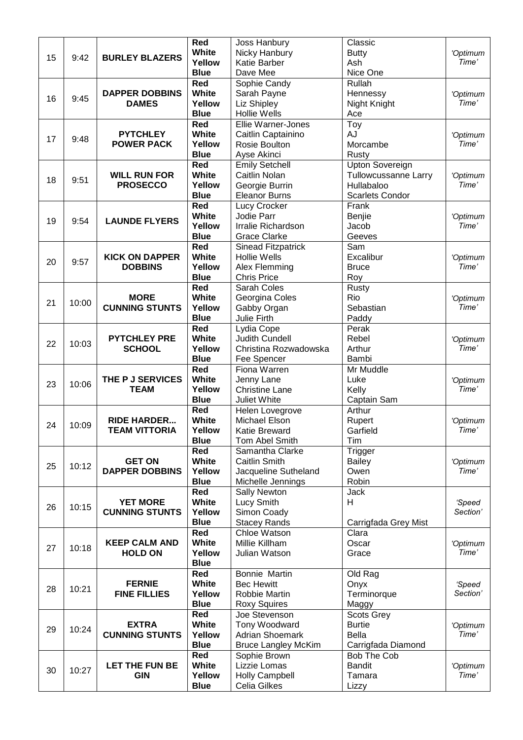|    |       |                       | Red          | Joss Hanbury                 | Classic                     |                   |
|----|-------|-----------------------|--------------|------------------------------|-----------------------------|-------------------|
|    |       |                       | White        | Nicky Hanbury                | <b>Butty</b>                | 'Optimum          |
| 15 | 9:42  | <b>BURLEY BLAZERS</b> | Yellow       | <b>Katie Barber</b>          | Ash                         | Time'             |
|    |       |                       | <b>Blue</b>  | Dave Mee                     | Nice One                    |                   |
|    |       |                       | Red          | Sophie Candy                 | Rullah                      |                   |
|    |       | <b>DAPPER DOBBINS</b> | White        | Sarah Payne                  | Hennessy                    | 'Optimum          |
| 16 | 9:45  | <b>DAMES</b>          | Yellow       | Liz Shipley                  | Night Knight                | Time'             |
|    |       |                       | <b>Blue</b>  | <b>Hollie Wells</b>          | Ace                         |                   |
|    |       |                       | Red          | Ellie Warner-Jones           | Toy                         |                   |
|    |       | <b>PYTCHLEY</b>       | White        |                              | <b>AJ</b>                   |                   |
| 17 | 9:48  |                       |              | Caitlin Captainino           |                             | 'Optimum<br>Time' |
|    |       | <b>POWER PACK</b>     | Yellow       | Rosie Boulton                | Morcambe                    |                   |
|    |       |                       | <b>Blue</b>  | Ayse Akinci                  | Rusty                       |                   |
|    |       |                       | Red          | <b>Emily Setchell</b>        | <b>Upton Sovereign</b>      |                   |
| 18 | 9:51  | <b>WILL RUN FOR</b>   | <b>White</b> | <b>Caitlin Nolan</b>         | <b>Tullowcussanne Larry</b> | 'Optimum          |
|    |       | <b>PROSECCO</b>       | Yellow       | Georgie Burrin               | Hullabaloo                  | Time'             |
|    |       |                       | <b>Blue</b>  | <b>Eleanor Burns</b>         | <b>Scarlets Condor</b>      |                   |
|    |       |                       | Red          | Lucy Crocker                 | Frank                       |                   |
| 19 | 9:54  | <b>LAUNDE FLYERS</b>  | White        | Jodie Parr                   | Benjie                      | 'Optimum          |
|    |       |                       | Yellow       | Irralie Richardson           | Jacob                       | Time'             |
|    |       |                       | <b>Blue</b>  | <b>Grace Clarke</b>          | Geeves                      |                   |
|    |       |                       | Red          | <b>Sinead Fitzpatrick</b>    | Sam                         |                   |
|    |       | <b>KICK ON DAPPER</b> | <b>White</b> | <b>Hollie Wells</b>          | Excalibur                   | 'Optimum          |
| 20 | 9:57  | <b>DOBBINS</b>        | Yellow       | Alex Flemming                | <b>Bruce</b>                | Time'             |
|    |       |                       | <b>Blue</b>  | <b>Chris Price</b>           | Roy                         |                   |
|    |       |                       | <b>Red</b>   | Sarah Coles                  | Rusty                       |                   |
|    |       | <b>MORE</b>           | White        | Georgina Coles               | Rio                         | 'Optimum          |
| 21 | 10:00 | <b>CUNNING STUNTS</b> | Yellow       | Gabby Organ                  | Sebastian                   | Time'             |
|    |       |                       | <b>Blue</b>  | Julie Firth                  | Paddy                       |                   |
|    |       |                       | Red          |                              | Perak                       |                   |
|    |       | <b>PYTCHLEY PRE</b>   | White        | Lydia Cope<br>Judith Cundell | Rebel                       |                   |
| 22 | 10:03 |                       |              |                              |                             | 'Optimum<br>Time' |
|    |       | <b>SCHOOL</b>         | Yellow       | Christina Rozwadowska        | Arthur                      |                   |
|    |       |                       | <b>Blue</b>  | Fee Spencer                  | Bambi                       |                   |
|    |       |                       | Red          | Fiona Warren                 | Mr Muddle                   |                   |
| 23 | 10:06 | THE P J SERVICES      | White        | Jenny Lane                   | Luke                        | 'Optimum          |
|    |       | <b>TEAM</b>           | Yellow       | <b>Christine Lane</b>        | Kelly                       | Time'             |
|    |       |                       | <b>Blue</b>  | Juliet White                 | Captain Sam                 |                   |
|    |       |                       | Red          | Helen Lovegrove              | Arthur                      |                   |
| 24 | 10:09 | <b>RIDE HARDER</b>    | <b>White</b> | Michael Elson                | Rupert                      | 'Optimum          |
|    |       | <b>TEAM VITTORIA</b>  | Yellow       | Katie Breward                | Garfield                    | Time'             |
|    |       |                       | <b>Blue</b>  | Tom Abel Smith               | Tim                         |                   |
|    |       |                       | Red          | Samantha Clarke              | Trigger                     |                   |
| 25 | 10:12 | <b>GET ON</b>         | White        | <b>Caitlin Smith</b>         | <b>Bailey</b>               | 'Optimum          |
|    |       | <b>DAPPER DOBBINS</b> | Yellow       | Jacqueline Sutheland         | Owen                        | Time'             |
|    |       |                       | <b>Blue</b>  | Michelle Jennings            | Robin                       |                   |
|    |       |                       | Red          | <b>Sally Newton</b>          | <b>Jack</b>                 |                   |
| 26 | 10:15 | <b>YET MORE</b>       | White        | Lucy Smith                   | H                           | 'Speed            |
|    |       | <b>CUNNING STUNTS</b> | Yellow       | Simon Coady                  |                             | Section'          |
|    |       |                       | <b>Blue</b>  | <b>Stacey Rands</b>          | Carrigfada Grey Mist        |                   |
|    |       |                       | Red          | Chloe Watson                 | Clara                       |                   |
|    |       | <b>KEEP CALM AND</b>  | White        | Millie Killham               | Oscar                       | 'Optimum          |
| 27 | 10:18 | <b>HOLD ON</b>        | Yellow       | Julian Watson                | Grace                       | Time'             |
|    |       |                       | <b>Blue</b>  |                              |                             |                   |
|    |       |                       | Red          | Bonnie Martin                | Old Rag                     |                   |
|    |       | <b>FERNIE</b>         | White        | <b>Bec Hewitt</b>            | Onyx                        | 'Speed            |
| 28 | 10:21 | <b>FINE FILLIES</b>   | Yellow       | Robbie Martin                | Terminorque                 | Section'          |
|    |       |                       | <b>Blue</b>  | <b>Roxy Squires</b>          | Maggy                       |                   |
|    |       |                       | Red          | Joe Stevenson                | <b>Scots Grey</b>           |                   |
|    |       |                       | <b>White</b> |                              |                             |                   |
| 29 | 10:24 | <b>EXTRA</b>          |              | Tony Woodward                | <b>Burtie</b>               | 'Optimum          |
|    |       | <b>CUNNING STUNTS</b> | Yellow       | <b>Adrian Shoemark</b>       | <b>Bella</b>                | Time'             |
|    |       |                       | <b>Blue</b>  | <b>Bruce Langley McKim</b>   | Carrigfada Diamond          |                   |
|    |       |                       | Red          | Sophie Brown                 | Bob The Cob                 |                   |
| 30 | 10:27 | <b>LET THE FUN BE</b> | <b>White</b> | Lizzie Lomas                 | <b>Bandit</b>               | 'Optimum          |
|    |       | <b>GIN</b>            | Yellow       | <b>Holly Campbell</b>        | Tamara                      | Time'             |
|    |       |                       | <b>Blue</b>  | Celia Gilkes                 | Lizzy                       |                   |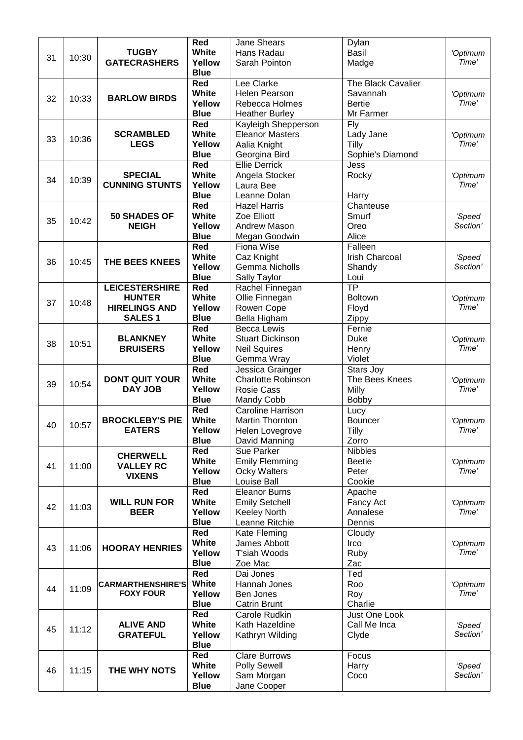|    |       |                                              | Red             | Jane Shears              | Dylan                 |                   |
|----|-------|----------------------------------------------|-----------------|--------------------------|-----------------------|-------------------|
|    |       | <b>TUGBY</b>                                 | <b>White</b>    | Hans Radau               | <b>Basil</b>          | 'Optimum          |
| 31 | 10:30 | <b>GATECRASHERS</b>                          | Yellow          | Sarah Pointon            | Madge                 | Time'             |
|    |       |                                              | <b>Blue</b>     |                          |                       |                   |
|    |       |                                              | Red             | Lee Clarke               | The Black Cavalier    |                   |
|    |       |                                              | <b>White</b>    | <b>Helen Pearson</b>     | Savannah              | 'Optimum          |
| 32 | 10:33 | <b>BARLOW BIRDS</b>                          | Yellow          | Rebecca Holmes           | <b>Bertie</b>         | Time'             |
|    |       |                                              | <b>Blue</b>     | <b>Heather Burley</b>    | Mr Farmer             |                   |
|    |       |                                              | Red             | Kayleigh Shepperson      | Fly                   |                   |
|    |       | <b>SCRAMBLED</b>                             | White           | <b>Eleanor Masters</b>   |                       |                   |
| 33 | 10:36 | <b>LEGS</b>                                  | Yellow          |                          | Lady Jane             | 'Optimum<br>Time' |
|    |       |                                              |                 | Aalia Knight             | Tilly                 |                   |
|    |       |                                              | <b>Blue</b>     | Georgina Bird            | Sophie's Diamond      |                   |
|    |       |                                              | Red             | <b>Ellie Derrick</b>     | Jess                  |                   |
| 34 | 10:39 | <b>SPECIAL</b>                               | <b>White</b>    | Angela Stocker           | Rocky                 | 'Optimum          |
|    |       | <b>CUNNING STUNTS</b>                        | Yellow          | Laura Bee                |                       | Time'             |
|    |       |                                              | <b>Blue</b>     | Leanne Dolan             | Harry                 |                   |
|    |       |                                              | Red             | <b>Hazel Harris</b>      | Chanteuse             |                   |
| 35 | 10:42 | 50 SHADES OF                                 | <b>White</b>    | Zoe Elliott              | Smurf                 | 'Speed            |
|    |       | <b>NEIGH</b>                                 | Yellow          | Andrew Mason             | Oreo                  | Section'          |
|    |       |                                              | <b>Blue</b>     | Megan Goodwin            | Alice                 |                   |
|    |       |                                              | Red             | Fiona Wise               | Falleen               |                   |
|    |       |                                              | <b>White</b>    | Caz Knight               | <b>Irish Charcoal</b> | 'Speed            |
| 36 | 10:45 | THE BEES KNEES                               | Yellow          | <b>Gemma Nicholls</b>    | Shandy                | Section'          |
|    |       |                                              | <b>Blue</b>     | Sally Taylor             | Loui                  |                   |
|    |       | <b>LEICESTERSHIRE</b>                        | Red             | Rachel Finnegan          | $\overline{TP}$       |                   |
|    |       | <b>HUNTER</b>                                | White           | Ollie Finnegan           | <b>Boltown</b>        | 'Optimum          |
| 37 | 10:48 | <b>HIRELINGS AND</b>                         | Yellow          | Rowen Cope               | Floyd                 | Time'             |
|    |       | <b>SALES1</b>                                | <b>Blue</b>     | Bella Higham             |                       |                   |
|    |       |                                              | Red             |                          | Zippy<br>Fernie       |                   |
|    |       |                                              |                 | <b>Becca Lewis</b>       |                       |                   |
| 38 | 10:51 | <b>BLANKNEY</b>                              | <b>White</b>    | <b>Stuart Dickinson</b>  | <b>Duke</b>           | 'Optimum          |
|    |       | <b>BRUISERS</b>                              | Yellow          | <b>Neil Squires</b>      | Henry                 | Time'             |
|    |       |                                              | <b>Blue</b>     | Gemma Wray               | Violet                |                   |
|    |       |                                              | Red             | Jessica Grainger         | Stars Joy             |                   |
| 39 | 10:54 | <b>DONT QUIT YOUR</b>                        | <b>White</b>    | Charlotte Robinson       | The Bees Knees        | 'Optimum          |
|    |       | <b>DAY JOB</b>                               | Yellow          | <b>Rosie Cass</b>        | Milly                 | Time'             |
|    |       |                                              | <b>Blue</b>     | Mandy Cobb               | <b>Bobby</b>          |                   |
|    |       |                                              | Red             | <b>Caroline Harrison</b> | Lucy                  |                   |
| 40 | 10:57 | <b>BROCKLEBY'S PIE</b>                       | <b>White</b>    | <b>Martin Thornton</b>   | <b>Bouncer</b>        | 'Optimum          |
|    |       | <b>EATERS</b>                                | Yellow          | Helen Lovegrove          | Tilly                 | Time'             |
|    |       |                                              | <b>Blue</b>     | David Manning            | Zorro                 |                   |
|    |       | <b>CHERWELL</b>                              | Red             | Sue Parker               | <b>Nibbles</b>        |                   |
|    |       |                                              | <b>White</b>    | <b>Emily Flemming</b>    | <b>Beetie</b>         | 'Optimum          |
| 41 | 11:00 | <b>VALLEY RC</b>                             | Yellow          | Ocky Walters             | Peter                 | Time'             |
|    |       | <b>VIXENS</b>                                | <b>Blue</b>     | Louise Ball              | Cookie                |                   |
|    |       |                                              | Red             | <b>Eleanor Burns</b>     | Apache                |                   |
|    |       | <b>WILL RUN FOR</b>                          | <b>White</b>    | <b>Emily Setchell</b>    | Fancy Act             | 'Optimum          |
| 42 | 11:03 | <b>BEER</b>                                  | Yellow          | <b>Keeley North</b>      | Annalese              | Time'             |
|    |       |                                              | <b>Blue</b>     | Leanne Ritchie           | Dennis                |                   |
|    |       |                                              | Red             | Kate Fleming             | Cloudy                |                   |
|    |       |                                              | <b>White</b>    | James Abbott             | Irco                  | 'Optimum          |
| 43 | 11:06 | <b>HOORAY HENRIES</b>                        | Yellow          | T'siah Woods             | Ruby                  | Time'             |
|    |       |                                              | <b>Blue</b>     | Zoe Mac                  | Zac                   |                   |
|    |       |                                              | Red             | Dai Jones                | Ted                   |                   |
|    |       |                                              |                 |                          |                       |                   |
| 44 | 11:09 | <b>CARMARTHENSHIRE'S</b><br><b>FOXY FOUR</b> | White<br>Yellow | Hannah Jones             | Roo                   | 'Optimum<br>Time' |
|    |       |                                              |                 | Ben Jones                | Roy                   |                   |
|    |       |                                              | <b>Blue</b>     | <b>Catrin Brunt</b>      | Charlie               |                   |
|    |       |                                              | Red             | Carole Rudkin            | Just One Look         |                   |
| 45 | 11:12 | <b>ALIVE AND</b>                             | <b>White</b>    | Kath Hazeldine           | Call Me Inca          | 'Speed            |
|    |       | <b>GRATEFUL</b>                              | Yellow          | Kathryn Wilding          | Clyde                 | Section'          |
|    |       |                                              | <b>Blue</b>     |                          |                       |                   |
|    |       |                                              | Red             | <b>Clare Burrows</b>     | Focus                 |                   |
| 46 | 11:15 | THE WHY NOTS                                 | <b>White</b>    | <b>Polly Sewell</b>      | Harry                 | 'Speed            |
|    |       |                                              | Yellow          | Sam Morgan               | Coco                  | Section'          |
|    |       |                                              | <b>Blue</b>     | Jane Cooper              |                       |                   |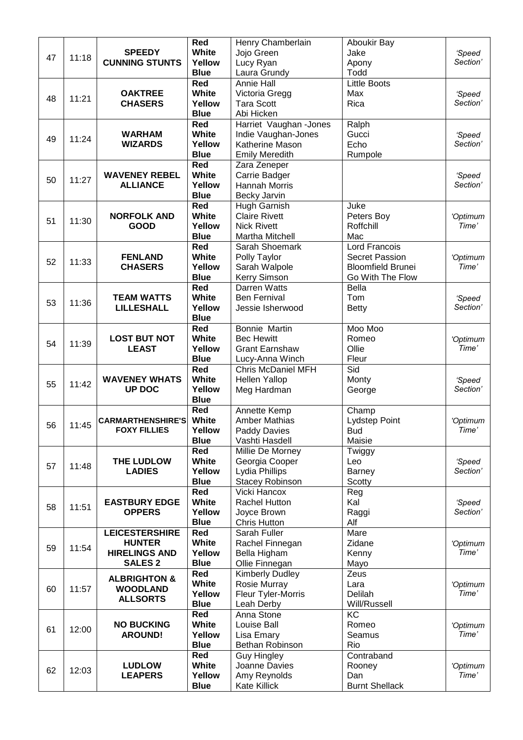|    |       |                             | Red                | Henry Chamberlain                | Aboukir Bay              |                    |
|----|-------|-----------------------------|--------------------|----------------------------------|--------------------------|--------------------|
| 47 | 11:18 | <b>SPEEDY</b>               | <b>White</b>       | Jojo Green                       | Jake                     | 'Speed             |
|    |       | <b>CUNNING STUNTS</b>       | Yellow             | Lucy Ryan                        | Apony                    | Section'           |
|    |       |                             | <b>Blue</b>        | Laura Grundy                     | Todd                     |                    |
|    |       |                             | Red                | <b>Annie Hall</b>                | <b>Little Boots</b>      |                    |
| 48 | 11:21 | <b>OAKTREE</b>              | White              | Victoria Gregg                   | Max                      | 'Speed             |
|    |       | <b>CHASERS</b>              | Yellow             | <b>Tara Scott</b>                | Rica                     | Section'           |
|    |       |                             | <b>Blue</b>        | Abi Hicken                       |                          |                    |
|    |       |                             | <b>Red</b>         | Harriet Vaughan - Jones          | Ralph                    |                    |
| 49 | 11:24 | <b>WARHAM</b>               | <b>White</b>       | Indie Vaughan-Jones              | Gucci                    | 'Speed             |
|    |       | <b>WIZARDS</b>              | Yellow             | Katherine Mason                  | Echo                     | Section'           |
|    |       |                             | <b>Blue</b>        | <b>Emily Meredith</b>            | Rumpole                  |                    |
|    |       |                             | Red                | Zara Zeneper                     |                          |                    |
| 50 | 11:27 | <b>WAVENEY REBEL</b>        | White              | Carrie Badger                    |                          | 'Speed             |
|    |       | <b>ALLIANCE</b>             | Yellow             | Hannah Morris                    |                          | Section'           |
|    |       |                             | <b>Blue</b>        | Becky Jarvin                     |                          |                    |
|    |       |                             | Red                | Hugh Garnish                     | Juke                     |                    |
| 51 | 11:30 | <b>NORFOLK AND</b>          | <b>White</b>       | <b>Claire Rivett</b>             | Peters Boy               | 'Optimum           |
|    |       | <b>GOOD</b>                 | Yellow             | <b>Nick Rivett</b>               | Roffchill                | Time'              |
|    |       |                             | <b>Blue</b>        | Martha Mitchell                  | Mac                      |                    |
|    |       |                             | Red                | Sarah Shoemark                   | <b>Lord Francois</b>     |                    |
| 52 | 11:33 | <b>FENLAND</b>              | <b>White</b>       | Polly Taylor                     | <b>Secret Passion</b>    | 'Optimum           |
|    |       | <b>CHASERS</b>              | Yellow             | Sarah Walpole                    | <b>Bloomfield Brunei</b> | Time'              |
|    |       |                             | <b>Blue</b>        | Kerry Simson                     | Go With The Flow         |                    |
|    |       |                             | Red                | Darren Watts                     | <b>Bella</b>             |                    |
| 53 | 11:36 | <b>TEAM WATTS</b>           | <b>White</b>       | <b>Ben Fernival</b>              | Tom                      | 'Speed             |
|    |       | <b>LILLESHALL</b>           | Yellow             | Jessie Isherwood                 | <b>Betty</b>             | Section'           |
|    |       |                             | <b>Blue</b>        |                                  |                          |                    |
|    |       |                             | Red                | Bonnie Martin                    | Moo Moo                  |                    |
| 54 | 11:39 | <b>LOST BUT NOT</b>         | White              | <b>Bec Hewitt</b>                | Romeo                    | 'Optimum           |
|    |       | <b>LEAST</b>                | Yellow             | <b>Grant Earnshaw</b>            | Ollie                    | Time'              |
|    |       |                             | <b>Blue</b>        | Lucy-Anna Winch                  | Fleur                    |                    |
|    |       |                             | Red                | <b>Chris McDaniel MFH</b>        | Sid                      |                    |
| 55 | 11:42 | <b>WAVENEY WHATS</b>        | <b>White</b>       | <b>Hellen Yallop</b>             | Monty                    | 'Speed             |
|    |       | UP DOC                      | Yellow             | Meg Hardman                      | George                   | Section'           |
|    |       |                             | <b>Blue</b>        |                                  |                          |                    |
|    |       |                             | Red                | Annette Kemp                     | Champ                    |                    |
| 56 | 11:45 | <b>CARMARTHENSHIRE'S</b>    | White              | <b>Amber Mathias</b>             | Lydstep Point            | 'Optimum           |
|    |       | <b>FOXY FILLIES</b>         | Yellow             | <b>Paddy Davies</b>              | Bud                      | Time'              |
|    |       |                             | <b>Blue</b><br>Red | Vashti Hasdell                   | Maisie                   |                    |
|    |       |                             | <b>White</b>       | Millie De Morney                 | Twiggy                   |                    |
| 57 | 11:48 | THE LUDLOW<br><b>LADIES</b> | Yellow             | Georgia Cooper<br>Lydia Phillips | Leo                      | 'Speed<br>Section' |
|    |       |                             | <b>Blue</b>        |                                  | <b>Barney</b>            |                    |
|    |       |                             | Red                | Stacey Robinson<br>Vicki Hancox  | Scotty<br>Reg            |                    |
|    |       | <b>EASTBURY EDGE</b>        | White              | Rachel Hutton                    | Kal                      | 'Speed             |
| 58 | 11:51 | <b>OPPERS</b>               | Yellow             | Joyce Brown                      | Raggi                    | Section'           |
|    |       |                             | <b>Blue</b>        | <b>Chris Hutton</b>              | Alf                      |                    |
|    |       | <b>LEICESTERSHIRE</b>       | Red                | Sarah Fuller                     | Mare                     |                    |
|    |       | <b>HUNTER</b>               | <b>White</b>       | Rachel Finnegan                  | Zidane                   | 'Optimum           |
| 59 | 11:54 | <b>HIRELINGS AND</b>        | Yellow             | Bella Higham                     | Kenny                    | Time'              |
|    |       | <b>SALES 2</b>              | <b>Blue</b>        | Ollie Finnegan                   | Mayo                     |                    |
|    |       |                             | Red                | Kimberly Dudley                  | Zeus                     |                    |
|    |       | <b>ALBRIGHTON &amp;</b>     | White              | Rosie Murray                     | Lara                     | 'Optimum           |
| 60 | 11:57 | <b>WOODLAND</b>             | Yellow             | Fleur Tyler-Morris               | Delilah                  | Time'              |
|    |       | <b>ALLSORTS</b>             | <b>Blue</b>        | Leah Derby                       | Will/Russell             |                    |
|    |       |                             | Red                | Anna Stone                       | KC                       |                    |
|    |       | <b>NO BUCKING</b>           | <b>White</b>       | Louise Ball                      | Romeo                    | 'Optimum           |
| 61 | 12:00 | <b>AROUND!</b>              | Yellow             | Lisa Emary                       | Seamus                   | Time'              |
|    |       |                             | <b>Blue</b>        | Bethan Robinson                  | Rio                      |                    |
|    |       |                             | Red                | <b>Guy Hingley</b>               | Contraband               |                    |
|    |       | <b>LUDLOW</b>               | <b>White</b>       | Joanne Davies                    | Rooney                   | 'Optimum           |
| 62 | 12:03 | <b>LEAPERS</b>              | Yellow             | Amy Reynolds                     | Dan                      | Time'              |
|    |       |                             | <b>Blue</b>        | Kate Killick                     | <b>Burnt Shellack</b>    |                    |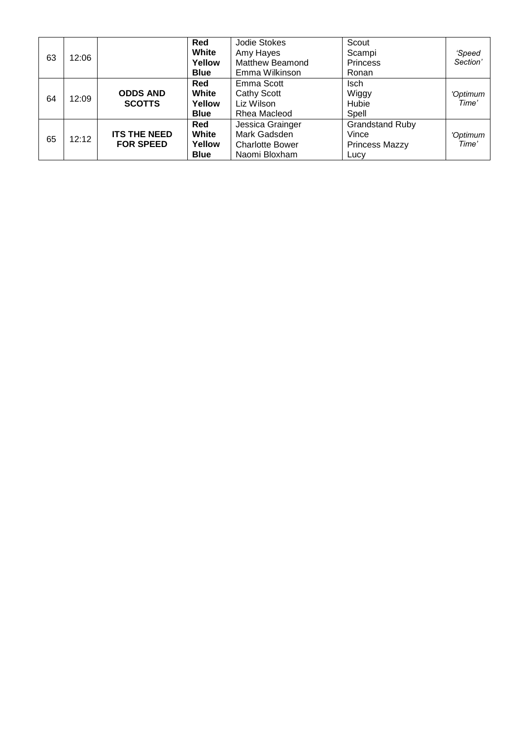|    |       |                     | Red         | Jodie Stokes           | Scout                  |          |
|----|-------|---------------------|-------------|------------------------|------------------------|----------|
| 63 | 12:06 |                     | White       | Amy Hayes              | Scampi                 | 'Speed   |
|    |       |                     | Yellow      | <b>Matthew Beamond</b> | <b>Princess</b>        | Section' |
|    |       |                     | <b>Blue</b> | Emma Wilkinson         | Ronan                  |          |
|    |       |                     | Red         | Emma Scott             | <b>Isch</b>            |          |
| 64 | 12:09 | <b>ODDS AND</b>     | White       | Cathy Scott            | Wiggy                  | 'Optimum |
|    |       | <b>SCOTTS</b>       | Yellow      | Liz Wilson             | Hubie                  | Time'    |
|    |       |                     | <b>Blue</b> | Rhea Macleod           | Spell                  |          |
|    |       |                     | <b>Red</b>  | Jessica Grainger       | <b>Grandstand Ruby</b> |          |
| 65 | 12:12 | <b>ITS THE NEED</b> | White       | Mark Gadsden           | Vince                  | 'Optimum |
|    |       | <b>FOR SPEED</b>    | Yellow      | <b>Charlotte Bower</b> | <b>Princess Mazzy</b>  | Time'    |
|    |       |                     | <b>Blue</b> | Naomi Bloxham          | Lucy                   |          |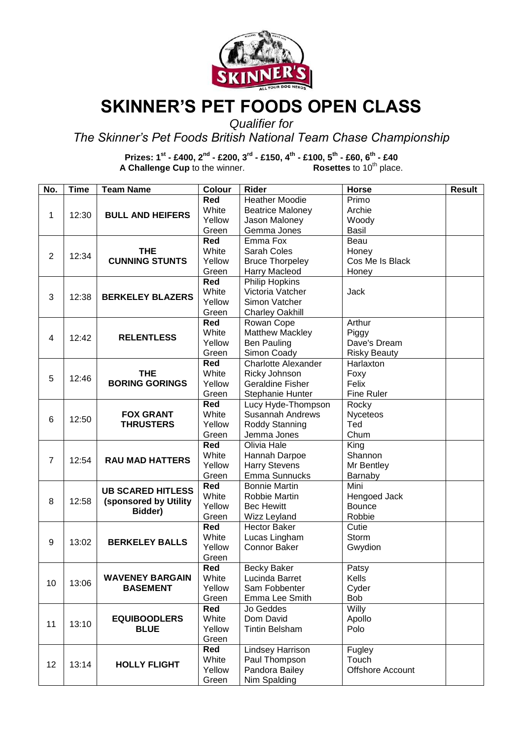

### **SKINNER'S PET FOODS OPEN CLASS**

*Qualifier for* 

*The Skinner's Pet Foods British National Team Chase Championship* 

**Prizes: 1st - £400, 2nd - £200, 3rd - £150, 4th - £100, 5th - £60, 6th - £40 A Challenge Cup** to the winner. **Rosettes** to 10<sup>th</sup> place.

| No.            | <b>Time</b>             | <b>Team Name</b>                     | Colour       | <b>Rider</b>               | Horse                   | <b>Result</b> |
|----------------|-------------------------|--------------------------------------|--------------|----------------------------|-------------------------|---------------|
|                |                         |                                      | Red          | <b>Heather Moodie</b>      | Primo                   |               |
|                |                         |                                      | White        | <b>Beatrice Maloney</b>    | Archie                  |               |
| 1              | 12:30                   | <b>BULL AND HEIFERS</b>              | Yellow       | Jason Maloney              | Woody                   |               |
|                |                         |                                      | Green        | Gemma Jones                | Basil                   |               |
|                |                         |                                      | Red          | Emma Fox                   | Beau                    |               |
|                |                         | <b>THE</b>                           | White        | Sarah Coles                | Honey                   |               |
|                | $\overline{2}$<br>12:34 | <b>CUNNING STUNTS</b>                | Yellow       | <b>Bruce Thorpeley</b>     | Cos Me Is Black         |               |
|                |                         |                                      | Green        | Harry Macleod              | Honey                   |               |
|                |                         |                                      | Red          | Philip Hopkins             |                         |               |
|                |                         |                                      | White        | Victoria Vatcher           | Jack                    |               |
| 3              | 12:38                   | <b>BERKELEY BLAZERS</b>              | Yellow       | Simon Vatcher              |                         |               |
|                |                         |                                      | Green        | <b>Charley Oakhill</b>     |                         |               |
|                |                         |                                      | Red          | Rowan Cope                 | Arthur                  |               |
|                |                         |                                      | White        | <b>Matthew Mackley</b>     |                         |               |
| 4              | 12:42                   | <b>RELENTLESS</b>                    | Yellow       |                            | Piggy                   |               |
|                |                         |                                      |              | <b>Ben Pauling</b>         | Dave's Dream            |               |
|                |                         |                                      | Green<br>Red | Simon Coady                | <b>Risky Beauty</b>     |               |
|                |                         |                                      |              | <b>Charlotte Alexander</b> | Harlaxton               |               |
| 5              | 12:46                   | <b>THE</b>                           | White        | Ricky Johnson              | Foxy                    |               |
|                |                         | <b>BORING GORINGS</b>                | Yellow       | <b>Geraldine Fisher</b>    | Felix                   |               |
|                |                         |                                      | Green        | Stephanie Hunter           | <b>Fine Ruler</b>       |               |
|                |                         |                                      | Red          | Lucy Hyde-Thompson         | Rocky                   |               |
| 6              | 12:50                   | <b>FOX GRANT</b><br><b>THRUSTERS</b> | White        | <b>Susannah Andrews</b>    | <b>Nyceteos</b>         |               |
|                |                         |                                      | Yellow       | Roddy Stanning             | Ted                     |               |
|                |                         |                                      | Green        | Jemma Jones                | Chum                    |               |
|                |                         | <b>RAU MAD HATTERS</b>               | Red          | Olivia Hale                | King                    |               |
| $\overline{7}$ | 12:54                   |                                      | White        | Hannah Darpoe              | Shannon                 |               |
|                |                         |                                      | Yellow       | <b>Harry Stevens</b>       | Mr Bentley              |               |
|                |                         |                                      | Green        | Emma Sunnucks              | Barnaby                 |               |
|                |                         | <b>UB SCARED HITLESS</b>             | Red          | <b>Bonnie Martin</b>       | Mini                    |               |
| 8              | 12:58                   | (sponsored by Utility                | White        | Robbie Martin              | Hengoed Jack            |               |
|                |                         | Bidder)                              | Yellow       | <b>Bec Hewitt</b>          | <b>Bounce</b>           |               |
|                |                         |                                      | Green        | Wizz Leyland               | Robbie                  |               |
|                |                         |                                      | Red          | <b>Hector Baker</b>        | Cutie                   |               |
| 9              | 13:02                   | <b>BERKELEY BALLS</b>                | White        | Lucas Lingham              | Storm                   |               |
|                |                         |                                      | Yellow       | <b>Connor Baker</b>        | Gwydion                 |               |
|                |                         |                                      | Green        |                            |                         |               |
|                |                         |                                      | Red          | <b>Becky Baker</b>         | Patsy                   |               |
| 10             | 13:06                   | WAVENEY BARGAIN                      | White        | Lucinda Barret             | Kells                   |               |
|                |                         | <b>BASEMENT</b>                      | Yellow       | Sam Fobbenter              | Cyder                   |               |
|                |                         |                                      | Green        | Emma Lee Smith             | Bob                     |               |
|                |                         |                                      | Red          | Jo Geddes                  | Willy                   |               |
| 11             |                         | <b>EQUIBOODLERS</b>                  | White        | Dom David                  | Apollo                  |               |
|                | 13:10                   | <b>BLUE</b>                          | Yellow       | <b>Tintin Belsham</b>      | Polo                    |               |
|                |                         |                                      | Green        |                            |                         |               |
|                |                         |                                      | Red          | Lindsey Harrison           | Fugley                  |               |
|                |                         |                                      | White        | Paul Thompson              | Touch                   |               |
| 12             | 13:14                   | <b>HOLLY FLIGHT</b>                  | Yellow       | Pandora Bailey             | <b>Offshore Account</b> |               |
|                |                         |                                      | Green        | Nim Spalding               |                         |               |
|                |                         |                                      |              |                            |                         |               |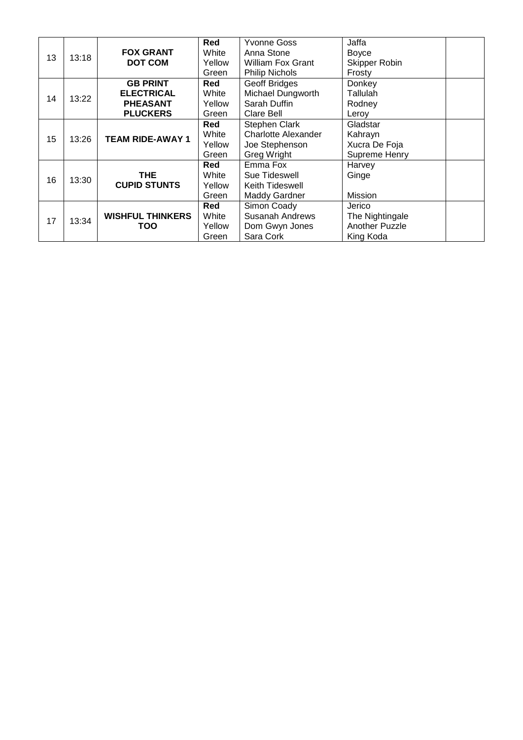| 13 | 13:18 | <b>FOX GRANT</b><br><b>DOT COM</b>                                         | Red<br>White<br>Yellow<br>Green | Yvonne Goss<br>Anna Stone<br><b>William Fox Grant</b><br><b>Philip Nichols</b>      | Jaffa<br>Boyce<br>Skipper Robin<br>Frosty                |  |
|----|-------|----------------------------------------------------------------------------|---------------------------------|-------------------------------------------------------------------------------------|----------------------------------------------------------|--|
| 14 | 13:22 | <b>GB PRINT</b><br><b>ELECTRICAL</b><br><b>PHEASANT</b><br><b>PLUCKERS</b> | Red<br>White<br>Yellow<br>Green | <b>Geoff Bridges</b><br>Michael Dungworth<br>Sarah Duffin<br>Clare Bell             | Donkey<br>Tallulah<br>Rodney<br>Leroy                    |  |
| 15 | 13:26 | <b>TEAM RIDE-AWAY 1</b>                                                    | Red<br>White<br>Yellow<br>Green | Stephen Clark<br><b>Charlotte Alexander</b><br>Joe Stephenson<br><b>Greg Wright</b> | Gladstar<br>Kahrayn<br>Xucra De Foja<br>Supreme Henry    |  |
| 16 | 13:30 | THE.<br><b>CUPID STUNTS</b>                                                | Red<br>White<br>Yellow<br>Green | Emma Fox<br>Sue Tideswell<br>Keith Tideswell<br><b>Maddy Gardner</b>                | Harvey<br>Ginge<br>Mission                               |  |
| 17 | 13:34 | <b>WISHFUL THINKERS</b><br>TOO                                             | Red<br>White<br>Yellow<br>Green | Simon Coady<br><b>Susanah Andrews</b><br>Dom Gwyn Jones<br>Sara Cork                | Jerico<br>The Nightingale<br>Another Puzzle<br>King Koda |  |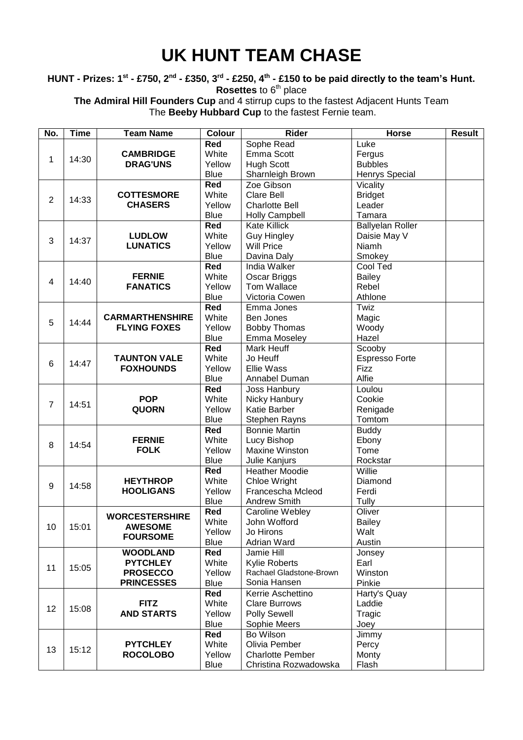## **UK HUNT TEAM CHASE**

**HUNT - Prizes: 1st - £750, 2nd - £350, 3rd - £250, 4th - £150 to be paid directly to the team's Hunt. Rosettes** to 6<sup>th</sup> place

**The Admiral Hill Founders Cup** and 4 stirrup cups to the fastest Adjacent Hunts Team The **Beeby Hubbard Cup** to the fastest Fernie team.

| No.                     | <b>Time</b> | <b>Team Name</b>       | <b>Colour</b> | <b>Rider</b>            | <b>Horse</b>          | <b>Result</b> |
|-------------------------|-------------|------------------------|---------------|-------------------------|-----------------------|---------------|
|                         |             |                        | <b>Red</b>    | Sophe Read              | Luke                  |               |
|                         |             | <b>CAMBRIDGE</b>       | White         | Emma Scott              | Fergus                |               |
| 1                       | 14:30       | <b>DRAG'UNS</b>        | Yellow        | <b>Hugh Scott</b>       | <b>Bubbles</b>        |               |
|                         |             |                        | <b>Blue</b>   | Sharnleigh Brown        | Henrys Special        |               |
|                         |             |                        | Red           | Zoe Gibson              | Vicality              |               |
|                         |             | <b>COTTESMORE</b>      | White         | <b>Clare Bell</b>       | <b>Bridget</b>        |               |
| $\overline{2}$          | 14:33       | <b>CHASERS</b>         | Yellow        | <b>Charlotte Bell</b>   | Leader                |               |
|                         |             |                        | <b>Blue</b>   | <b>Holly Campbell</b>   | Tamara                |               |
|                         |             |                        | <b>Red</b>    | <b>Kate Killick</b>     | Ballyelan Roller      |               |
|                         |             | <b>LUDLOW</b>          | White         | <b>Guy Hingley</b>      | Daisie May V          |               |
| 3                       | 14:37       | <b>LUNATICS</b>        | Yellow        | <b>Will Price</b>       | Niamh                 |               |
|                         |             |                        | <b>Blue</b>   | Davina Daly             | Smokey                |               |
|                         |             |                        | <b>Red</b>    | India Walker            | Cool Ted              |               |
|                         |             | <b>FERNIE</b>          | White         | Oscar Briggs            | <b>Bailey</b>         |               |
| $\overline{\mathbf{4}}$ | 14:40       | <b>FANATICS</b>        | Yellow        | Tom Wallace             | Rebel                 |               |
|                         |             |                        | <b>Blue</b>   | Victoria Cowen          | Athlone               |               |
|                         |             |                        | Red           | Emma Jones              | Twiz                  |               |
|                         |             | <b>CARMARTHENSHIRE</b> | White         | Ben Jones               | Magic                 |               |
| 5                       | 14:44       | <b>FLYING FOXES</b>    | Yellow        | <b>Bobby Thomas</b>     | Woody                 |               |
|                         |             |                        | <b>Blue</b>   | <b>Emma Moseley</b>     | Hazel                 |               |
|                         |             |                        | Red           | Mark Heuff              | Scooby                |               |
|                         |             | <b>TAUNTON VALE</b>    | White         | Jo Heuff                | <b>Espresso Forte</b> |               |
| 6                       | 14:47       | <b>FOXHOUNDS</b>       | Yellow        | <b>Ellie Wass</b>       | <b>Fizz</b>           |               |
|                         |             |                        | <b>Blue</b>   | Annabel Duman           | Alfie                 |               |
|                         |             |                        | Red           | Joss Hanbury            | Loulou                |               |
|                         |             | <b>POP</b>             | White         | Nicky Hanbury           | Cookie                |               |
| $\overline{7}$          | 14:51       | <b>QUORN</b>           | Yellow        | <b>Katie Barber</b>     | Renigade              |               |
|                         |             |                        | <b>Blue</b>   | Stephen Rayns           | Tomtom                |               |
|                         |             |                        | <b>Red</b>    | <b>Bonnie Martin</b>    | <b>Buddy</b>          |               |
|                         |             | <b>FERNIE</b>          | White         | Lucy Bishop             | Ebony                 |               |
| 8                       | 14:54       | <b>FOLK</b>            | Yellow        | <b>Maxine Winston</b>   | Tome                  |               |
|                         |             |                        | <b>Blue</b>   | Julie Kanjurs           | Rockstar              |               |
|                         |             |                        | <b>Red</b>    | <b>Heather Moodie</b>   | Willie                |               |
|                         |             | <b>HEYTHROP</b>        | White         | Chloe Wright            | Diamond               |               |
| 9                       | 14:58       | <b>HOOLIGANS</b>       | Yellow        | Francescha Mcleod       | Ferdi                 |               |
|                         |             |                        | <b>Blue</b>   | <b>Andrew Smith</b>     | Tully                 |               |
|                         |             |                        | Red           | Caroline Webley         | Oliver                |               |
|                         |             | <b>WORCESTERSHIRE</b>  | White         | John Wofford            | <b>Bailey</b>         |               |
| 10                      | 15:01       | <b>AWESOME</b>         | Yellow        | Jo Hirons               | Walt                  |               |
|                         |             | <b>FOURSOME</b>        | <b>Blue</b>   | Adrian Ward             | Austin                |               |
|                         |             | <b>WOODLAND</b>        | Red           | Jamie Hill              | Jonsey                |               |
|                         |             | <b>PYTCHLEY</b>        | White         | <b>Kylie Roberts</b>    | Earl                  |               |
| 11                      | 15:05       | <b>PROSECCO</b>        | Yellow        | Rachael Gladstone-Brown | Winston               |               |
|                         |             | <b>PRINCESSES</b>      | <b>Blue</b>   | Sonia Hansen            | Pinkie                |               |
|                         |             |                        | Red           | Kerrie Aschettino       | Harty's Quay          |               |
|                         |             | <b>FITZ</b>            | White         | <b>Clare Burrows</b>    | Laddie                |               |
| 12                      | 15:08       | <b>AND STARTS</b>      | Yellow        | <b>Polly Sewell</b>     | Tragic                |               |
|                         |             |                        | <b>Blue</b>   | Sophie Meers            | Joey                  |               |
|                         |             |                        | Red           | Bo Wilson               | Jimmy                 |               |
|                         |             | <b>PYTCHLEY</b>        | White         | Olivia Pember           | Percy                 |               |
| 13                      | 15:12       | <b>ROCOLOBO</b>        | Yellow        | <b>Charlotte Pember</b> | Monty                 |               |
|                         |             |                        | <b>Blue</b>   | Christina Rozwadowska   | Flash                 |               |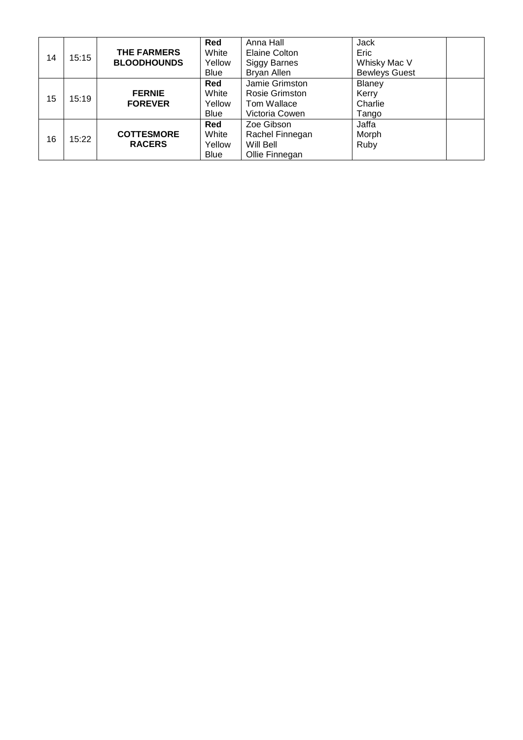| 14 | 15:15 | <b>THE FARMERS</b><br><b>BLOODHOUNDS</b> | Red<br>White<br>Yellow<br>Blue        | Anna Hall<br><b>Elaine Colton</b><br><b>Siggy Barnes</b><br>Bryan Allen | Jack<br>Eric<br>Whisky Mac V<br><b>Bewleys Guest</b> |
|----|-------|------------------------------------------|---------------------------------------|-------------------------------------------------------------------------|------------------------------------------------------|
| 15 | 15:19 | <b>FERNIE</b><br><b>FOREVER</b>          | Red<br>White<br>Yellow<br><b>Blue</b> | Jamie Grimston<br>Rosie Grimston<br>Tom Wallace<br>Victoria Cowen       | Blaney<br>Kerry<br>Charlie<br>Tango                  |
| 16 | 15:22 | <b>COTTESMORE</b><br><b>RACERS</b>       | Red<br>White<br>Yellow<br><b>Blue</b> | Zoe Gibson<br>Rachel Finnegan<br>Will Bell<br>Ollie Finnegan            | Jaffa<br>Morph<br>Ruby                               |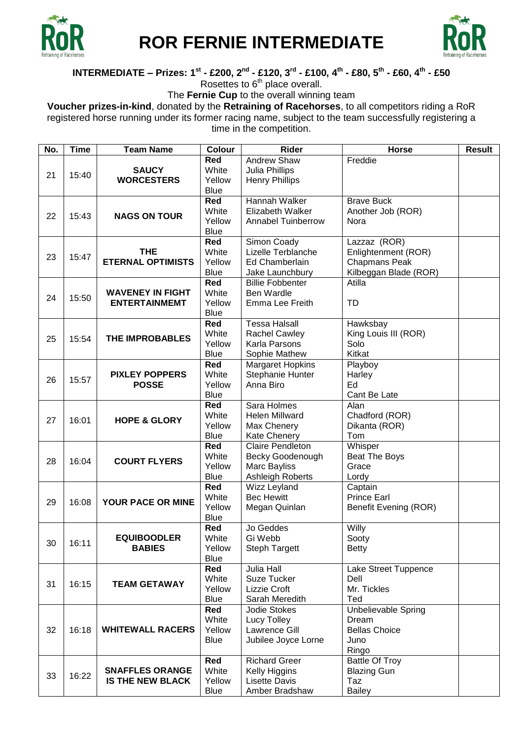

# **ROR FERNIE INTERMEDIATE**



#### INTERMEDIATE – Prizes: 1<sup>st</sup> - £200, 2<sup>nd</sup> - £120, 3<sup>rd</sup> - £100, 4<sup>th</sup> - £80, 5<sup>th</sup> - £60, 4<sup>th</sup> - £50

Rosettes to  $6<sup>th</sup>$  place overall.

The **Fernie Cup** to the overall winning team

**Voucher prizes-in-kind**, donated by the **Retraining of Racehorses**, to all competitors riding a RoR registered horse running under its former racing name, subject to the team successfully registering a time in the competition.

| No. | <b>Time</b> | <b>Team Name</b>         | <b>Colour</b> | Rider                     | <b>Horse</b>               | <b>Result</b> |
|-----|-------------|--------------------------|---------------|---------------------------|----------------------------|---------------|
|     |             |                          | Red           | Andrew Shaw               | Freddie                    |               |
|     |             | <b>SAUCY</b>             | White         | Julia Phillips            |                            |               |
| 21  | 15:40       | <b>WORCESTERS</b>        | Yellow        | <b>Henry Phillips</b>     |                            |               |
|     |             |                          | <b>Blue</b>   |                           |                            |               |
|     |             |                          | <b>Red</b>    | Hannah Walker             | <b>Brave Buck</b>          |               |
|     |             |                          | White         | Elizabeth Walker          |                            |               |
| 22  | 15:43       | <b>NAGS ON TOUR</b>      |               |                           | Another Job (ROR)          |               |
|     |             |                          | Yellow        | <b>Annabel Tuinberrow</b> | Nora                       |               |
|     |             |                          | <b>Blue</b>   |                           |                            |               |
|     |             |                          | Red           | Simon Coady               | Lazzaz (ROR)               |               |
| 23  | 15:47       | <b>THE</b>               | White         | Lizelle Terblanche        | Enlightenment (ROR)        |               |
|     |             | <b>ETERNAL OPTIMISTS</b> | Yellow        | Ed Chamberlain            | <b>Chapmans Peak</b>       |               |
|     |             |                          | <b>Blue</b>   | Jake Launchbury           | Kilbeggan Blade (ROR)      |               |
|     |             |                          | Red           | <b>Billie Fobbenter</b>   | Atilla                     |               |
|     |             | <b>WAVENEY IN FIGHT</b>  | White         | Ben Wardle                |                            |               |
| 24  | 15:50       | <b>ENTERTAINMEMT</b>     | Yellow        | Emma Lee Freith           | TD                         |               |
|     |             |                          | <b>Blue</b>   |                           |                            |               |
|     |             |                          | <b>Red</b>    | <b>Tessa Halsall</b>      | Hawksbay                   |               |
|     |             |                          | White         | <b>Rachel Cawley</b>      | King Louis III (ROR)       |               |
| 25  | 15:54       | <b>THE IMPROBABLES</b>   | Yellow        | Karla Parsons             | Solo                       |               |
|     |             |                          | <b>Blue</b>   | Sophie Mathew             | Kitkat                     |               |
|     |             |                          | <b>Red</b>    |                           |                            |               |
|     |             |                          |               | <b>Margaret Hopkins</b>   | Playboy                    |               |
| 26  | 15:57       | <b>PIXLEY POPPERS</b>    | White         | Stephanie Hunter          | Harley                     |               |
|     |             | <b>POSSE</b>             | Yellow        | Anna Biro                 | Ed                         |               |
|     |             |                          | <b>Blue</b>   |                           | Cant Be Late               |               |
|     |             |                          | Red           | Sara Holmes               | Alan                       |               |
| 27  | 16:01       | <b>HOPE &amp; GLORY</b>  | White         | <b>Helen Millward</b>     | Chadford (ROR)             |               |
|     |             |                          | Yellow        | Max Chenery               | Dikanta (ROR)              |               |
|     |             |                          | <b>Blue</b>   | <b>Kate Chenery</b>       | Tom                        |               |
|     |             |                          | Red           | <b>Claire Pendleton</b>   | Whisper                    |               |
| 28  | 16:04       | <b>COURT FLYERS</b>      | White         | Becky Goodenough          | Beat The Boys              |               |
|     |             |                          | Yellow        | Marc Bayliss              | Grace                      |               |
|     |             |                          | <b>Blue</b>   | Ashleigh Roberts          | Lordy                      |               |
|     |             |                          | <b>Red</b>    | Wizz Leyland              | Captain                    |               |
|     |             |                          | White         | <b>Bec Hewitt</b>         | <b>Prince Earl</b>         |               |
| 29  | 16:08       | YOUR PACE OR MINE        | Yellow        | Megan Quinlan             | Benefit Evening (ROR)      |               |
|     |             |                          | <b>Blue</b>   |                           |                            |               |
|     |             |                          | Red           | Jo Geddes                 | Willy                      |               |
|     |             | <b>EQUIBOODLER</b>       | White         | Gi Webb                   | Sooty                      |               |
| 30  | 16:11       | <b>BABIES</b>            | Yellow        | <b>Steph Targett</b>      | <b>Betty</b>               |               |
|     |             |                          | <b>Blue</b>   |                           |                            |               |
|     |             |                          | Red           | <b>Julia Hall</b>         |                            |               |
|     |             |                          |               |                           | Lake Street Tuppence       |               |
| 31  | 16:15       | <b>TEAM GETAWAY</b>      | White         | Suze Tucker               | Dell                       |               |
|     |             |                          | Yellow        | Lizzie Croft              | Mr. Tickles                |               |
|     |             |                          | Blue          | Sarah Meredith            | Ted                        |               |
|     |             |                          | Red           | <b>Jodie Stokes</b>       | <b>Unbelievable Spring</b> |               |
|     |             |                          | White         | Lucy Tolley               | Dream                      |               |
| 32  | 16:18       | <b>WHITEWALL RACERS</b>  | Yellow        | Lawrence Gill             | <b>Bellas Choice</b>       |               |
|     |             |                          | <b>Blue</b>   | Jubilee Joyce Lorne       | Juno                       |               |
|     |             |                          |               |                           | Ringo                      |               |
|     |             |                          | Red           | <b>Richard Greer</b>      | <b>Battle Of Troy</b>      |               |
|     |             | <b>SNAFFLES ORANGE</b>   | White         | Kelly Higgins             | <b>Blazing Gun</b>         |               |
| 33  | 16:22       | <b>IS THE NEW BLACK</b>  | Yellow        | <b>Lisette Davis</b>      | Taz                        |               |
|     |             |                          | Blue          | Amber Bradshaw            | <b>Bailey</b>              |               |